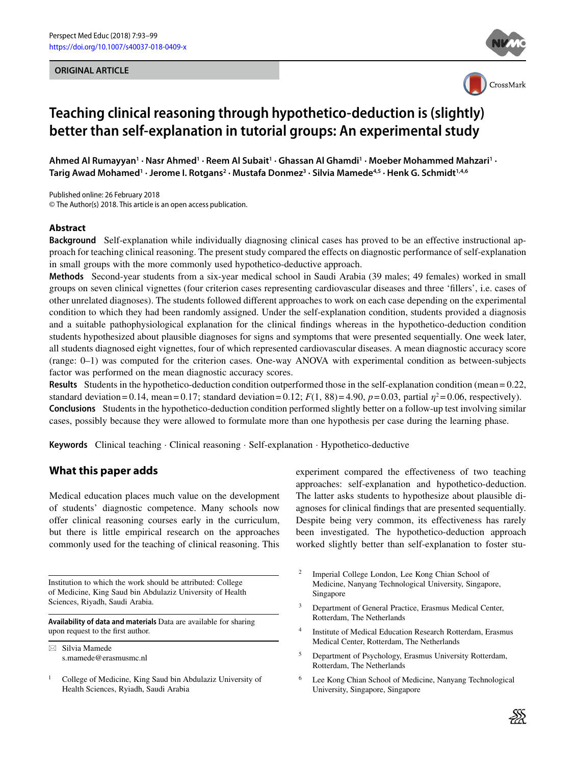#### **ORIGINAL ARTICLE**





# **Teaching clinical reasoning through hypothetico-deduction is (slightly) better than self-explanation in tutorial groups: An experimental study**

**Ahmed Al Rumayyan1 · Nasr Ahmed1 · Reem Al Subait1 · Ghassan Al Ghamdi1 · Moeber Mohammed Mahzari1 · Tarig Awad Mohamed1 · Jerome I. Rotgans2 · Mustafa Donmez3 · Silvia Mamede4,5 · Henk G. Schmidt1,4,6**

Published online: 26 February 2018 © The Author(s) 2018. This article is an open access publication.

#### **Abstract**

**Background** Self-explanation while individually diagnosing clinical cases has proved to be an effective instructional approach for teaching clinical reasoning. The present study compared the effects on diagnostic performance of self-explanation in small groups with the more commonly used hypothetico-deductive approach.

**Methods** Second-year students from a six-year medical school in Saudi Arabia (39 males; 49 females) worked in small groups on seven clinical vignettes (four criterion cases representing cardiovascular diseases and three 'fillers', i.e. cases of other unrelated diagnoses). The students followed different approaches to work on each case depending on the experimental condition to which they had been randomly assigned. Under the self-explanation condition, students provided a diagnosis and a suitable pathophysiological explanation for the clinical findings whereas in the hypothetico-deduction condition students hypothesized about plausible diagnoses for signs and symptoms that were presented sequentially. One week later, all students diagnosed eight vignettes, four of which represented cardiovascular diseases. A mean diagnostic accuracy score (range: 0–1) was computed for the criterion cases. One-way ANOVA with experimental condition as between-subjects factor was performed on the mean diagnostic accuracy scores.

**Results** Students in the hypothetico-deduction condition outperformed those in the self-explanation condition (mean = 0.22, standard deviation = 0.14, mean = 0.17; standard deviation = 0.12;  $F(1, 88) = 4.90$ ,  $p = 0.03$ , partial  $\eta^2 = 0.06$ , respectively). **Conclusions** Students in the hypothetico-deduction condition performed slightly better on a follow-up test involving similar cases, possibly because they were allowed to formulate more than one hypothesis per case during the learning phase.

**Keywords** Clinical teaching · Clinical reasoning · Self-explanation · Hypothetico-deductive

## **What this paper adds**

Medical education places much value on the development of students' diagnostic competence. Many schools now offer clinical reasoning courses early in the curriculum, but there is little empirical research on the approaches commonly used for the teaching of clinical reasoning. This

Institution to which the work should be attributed: College of Medicine, King Saud bin Abdulaziz University of Health Sciences, Riyadh, Saudi Arabia.

**Availability of data and materials** Data are available for sharing upon request to the first author.

 $\boxtimes$  Silvia Mamede s.mamede@erasmusmc.nl experiment compared the effectiveness of two teaching approaches: self-explanation and hypothetico-deduction. The latter asks students to hypothesize about plausible diagnoses for clinical findings that are presented sequentially. Despite being very common, its effectiveness has rarely been investigated. The hypothetico-deduction approach worked slightly better than self-explanation to foster stu-

- <sup>2</sup> Imperial College London, Lee Kong Chian School of Medicine, Nanyang Technological University, Singapore, Singapore
- <sup>3</sup> Department of General Practice, Erasmus Medical Center, Rotterdam, The Netherlands
- <sup>4</sup> Institute of Medical Education Research Rotterdam, Erasmus Medical Center, Rotterdam, The Netherlands
- <sup>5</sup> Department of Psychology, Erasmus University Rotterdam, Rotterdam, The Netherlands
- <sup>6</sup> Lee Kong Chian School of Medicine, Nanyang Technological University, Singapore, Singapore



<sup>&</sup>lt;sup>1</sup> College of Medicine, King Saud bin Abdulaziz University of Health Sciences, Ryiadh, Saudi Arabia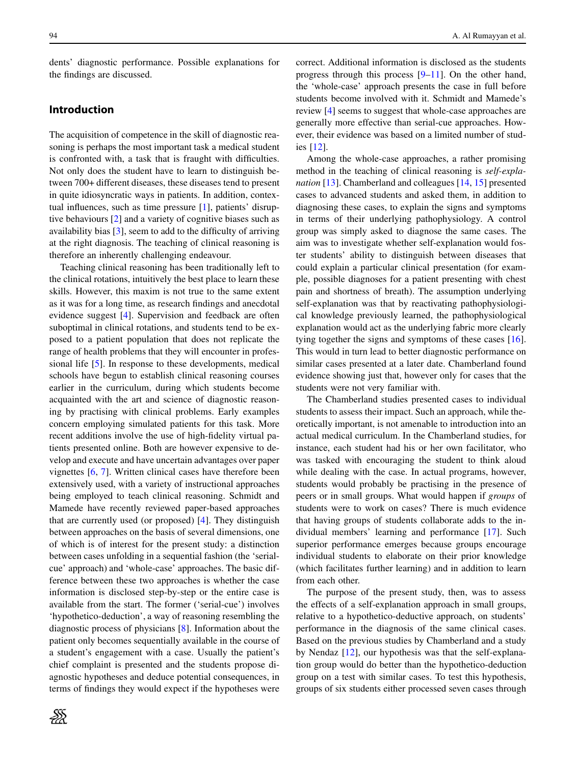dents' diagnostic performance. Possible explanations for the findings are discussed.

# **Introduction**

The acquisition of competence in the skill of diagnostic reasoning is perhaps the most important task a medical student is confronted with, a task that is fraught with difficulties. Not only does the student have to learn to distinguish between 700+ different diseases, these diseases tend to present in quite idiosyncratic ways in patients. In addition, contextual influences, such as time pressure [\[1\]](#page-5-0), patients' disruptive behaviours [\[2\]](#page-5-1) and a variety of cognitive biases such as availability bias [\[3\]](#page-5-2), seem to add to the difficulty of arriving at the right diagnosis. The teaching of clinical reasoning is therefore an inherently challenging endeavour.

Teaching clinical reasoning has been traditionally left to the clinical rotations, intuitively the best place to learn these skills. However, this maxim is not true to the same extent as it was for a long time, as research findings and anecdotal evidence suggest [\[4\]](#page-5-3). Supervision and feedback are often suboptimal in clinical rotations, and students tend to be exposed to a patient population that does not replicate the range of health problems that they will encounter in professional life [\[5\]](#page-5-4). In response to these developments, medical schools have begun to establish clinical reasoning courses earlier in the curriculum, during which students become acquainted with the art and science of diagnostic reasoning by practising with clinical problems. Early examples concern employing simulated patients for this task. More recent additions involve the use of high-fidelity virtual patients presented online. Both are however expensive to develop and execute and have uncertain advantages over paper vignettes [\[6,](#page-5-5) [7\]](#page-5-6). Written clinical cases have therefore been extensively used, with a variety of instructional approaches being employed to teach clinical reasoning. Schmidt and Mamede have recently reviewed paper-based approaches that are currently used (or proposed) [\[4\]](#page-5-3). They distinguish between approaches on the basis of several dimensions, one of which is of interest for the present study: a distinction between cases unfolding in a sequential fashion (the 'serialcue' approach) and 'whole-case' approaches. The basic difference between these two approaches is whether the case information is disclosed step-by-step or the entire case is available from the start. The former ('serial-cue') involves 'hypothetico-deduction', a way of reasoning resembling the diagnostic process of physicians [\[8\]](#page-5-7). Information about the patient only becomes sequentially available in the course of a student's engagement with a case. Usually the patient's chief complaint is presented and the students propose diagnostic hypotheses and deduce potential consequences, in terms of findings they would expect if the hypotheses were correct. Additional information is disclosed as the students progress through this process [\[9](#page-5-8)[–11\]](#page-5-9). On the other hand, the 'whole-case' approach presents the case in full before students become involved with it. Schmidt and Mamede's review [\[4\]](#page-5-3) seems to suggest that whole-case approaches are generally more effective than serial-cue approaches. However, their evidence was based on a limited number of studies [\[12\]](#page-5-10).

Among the whole-case approaches, a rather promising method in the teaching of clinical reasoning is *self-explanation* [\[13\]](#page-5-11). Chamberland and colleagues [\[14,](#page-6-0) [15\]](#page-6-1) presented cases to advanced students and asked them, in addition to diagnosing these cases, to explain the signs and symptoms in terms of their underlying pathophysiology. A control group was simply asked to diagnose the same cases. The aim was to investigate whether self-explanation would foster students' ability to distinguish between diseases that could explain a particular clinical presentation (for example, possible diagnoses for a patient presenting with chest pain and shortness of breath). The assumption underlying self-explanation was that by reactivating pathophysiological knowledge previously learned, the pathophysiological explanation would act as the underlying fabric more clearly tying together the signs and symptoms of these cases [\[16\]](#page-6-2). This would in turn lead to better diagnostic performance on similar cases presented at a later date. Chamberland found evidence showing just that, however only for cases that the students were not very familiar with.

The Chamberland studies presented cases to individual students to assess their impact. Such an approach, while theoretically important, is not amenable to introduction into an actual medical curriculum. In the Chamberland studies, for instance, each student had his or her own facilitator, who was tasked with encouraging the student to think aloud while dealing with the case. In actual programs, however, students would probably be practising in the presence of peers or in small groups. What would happen if *groups* of students were to work on cases? There is much evidence that having groups of students collaborate adds to the individual members' learning and performance [\[17\]](#page-6-3). Such superior performance emerges because groups encourage individual students to elaborate on their prior knowledge (which facilitates further learning) and in addition to learn from each other.

The purpose of the present study, then, was to assess the effects of a self-explanation approach in small groups, relative to a hypothetico-deductive approach, on students' performance in the diagnosis of the same clinical cases. Based on the previous studies by Chamberland and a study by Nendaz [\[12\]](#page-5-10), our hypothesis was that the self-explanation group would do better than the hypothetico-deduction group on a test with similar cases. To test this hypothesis, groups of six students either processed seven cases through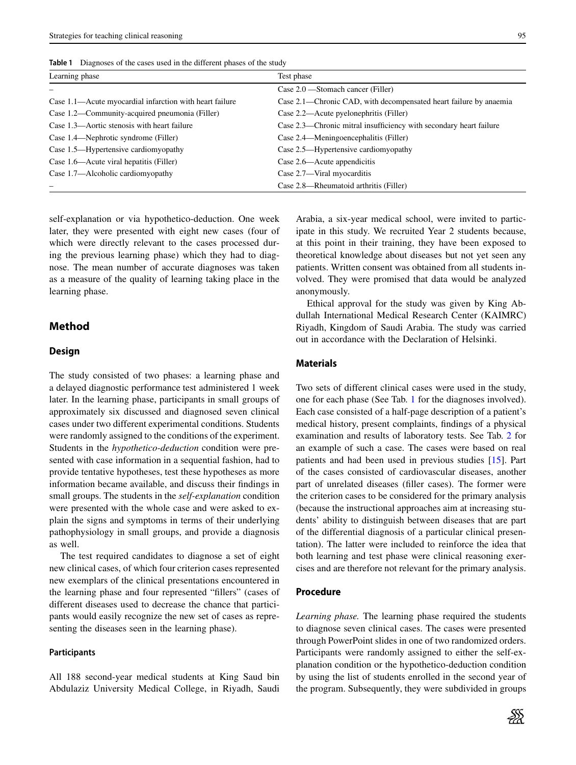| Learning phase                                          | Test phase                                                         |  |
|---------------------------------------------------------|--------------------------------------------------------------------|--|
|                                                         | Case $2.0$ —Stomach cancer (Filler)                                |  |
| Case 1.1—Acute myocardial infarction with heart failure | Case 2.1—Chronic CAD, with decompensated heart failure by anaemia  |  |
| Case 1.2—Community-acquired pneumonia (Filler)          | Case 2.2—Acute pyelonephritis (Filler)                             |  |
| Case 1.3—Aortic stenosis with heart failure             | Case 2.3—Chronic mitral insufficiency with secondary heart failure |  |
| Case 1.4—Nephrotic syndrome (Filler)                    | Case 2.4—Meningoencephalitis (Filler)                              |  |
| Case 1.5—Hypertensive cardiomyopathy                    | Case 2.5—Hypertensive cardiomyopathy                               |  |
| Case 1.6—Acute viral hepatitis (Filler)                 | Case 2.6—Acute appendicitis                                        |  |
| Case 1.7—Alcoholic cardiomyopathy                       | Case 2.7—Viral myocarditis                                         |  |
|                                                         | Case 2.8—Rheumatoid arthritis (Filler)                             |  |

<span id="page-2-0"></span>**Table 1** Diagnoses of the cases used in the different phases of the study

self-explanation or via hypothetico-deduction. One week later, they were presented with eight new cases (four of which were directly relevant to the cases processed during the previous learning phase) which they had to diagnose. The mean number of accurate diagnoses was taken as a measure of the quality of learning taking place in the learning phase.

# **Method**

#### **Design**

The study consisted of two phases: a learning phase and a delayed diagnostic performance test administered 1 week later. In the learning phase, participants in small groups of approximately six discussed and diagnosed seven clinical cases under two different experimental conditions. Students were randomly assigned to the conditions of the experiment. Students in the *hypothetico-deduction* condition were presented with case information in a sequential fashion, had to provide tentative hypotheses, test these hypotheses as more information became available, and discuss their findings in small groups. The students in the *self-explanation* condition were presented with the whole case and were asked to explain the signs and symptoms in terms of their underlying pathophysiology in small groups, and provide a diagnosis as well.

The test required candidates to diagnose a set of eight new clinical cases, of which four criterion cases represented new exemplars of the clinical presentations encountered in the learning phase and four represented "fillers" (cases of different diseases used to decrease the chance that participants would easily recognize the new set of cases as representing the diseases seen in the learning phase).

#### **Participants**

All 188 second-year medical students at King Saud bin Abdulaziz University Medical College, in Riyadh, Saudi Arabia, a six-year medical school, were invited to participate in this study. We recruited Year 2 students because, at this point in their training, they have been exposed to theoretical knowledge about diseases but not yet seen any patients. Written consent was obtained from all students involved. They were promised that data would be analyzed anonymously.

Ethical approval for the study was given by King Abdullah International Medical Research Center (KAIMRC) Riyadh, Kingdom of Saudi Arabia. The study was carried out in accordance with the Declaration of Helsinki.

# **Materials**

Two sets of different clinical cases were used in the study, one for each phase (See Tab. [1](#page-2-0) for the diagnoses involved). Each case consisted of a half-page description of a patient's medical history, present complaints, findings of a physical examination and results of laboratory tests. See Tab. [2](#page-3-0) for an example of such a case. The cases were based on real patients and had been used in previous studies [\[15\]](#page-6-1). Part of the cases consisted of cardiovascular diseases, another part of unrelated diseases (filler cases). The former were the criterion cases to be considered for the primary analysis (because the instructional approaches aim at increasing students' ability to distinguish between diseases that are part of the differential diagnosis of a particular clinical presentation). The latter were included to reinforce the idea that both learning and test phase were clinical reasoning exercises and are therefore not relevant for the primary analysis.

#### **Procedure**

*Learning phase.* The learning phase required the students to diagnose seven clinical cases. The cases were presented through PowerPoint slides in one of two randomized orders. Participants were randomly assigned to either the self-explanation condition or the hypothetico-deduction condition by using the list of students enrolled in the second year of the program. Subsequently, they were subdivided in groups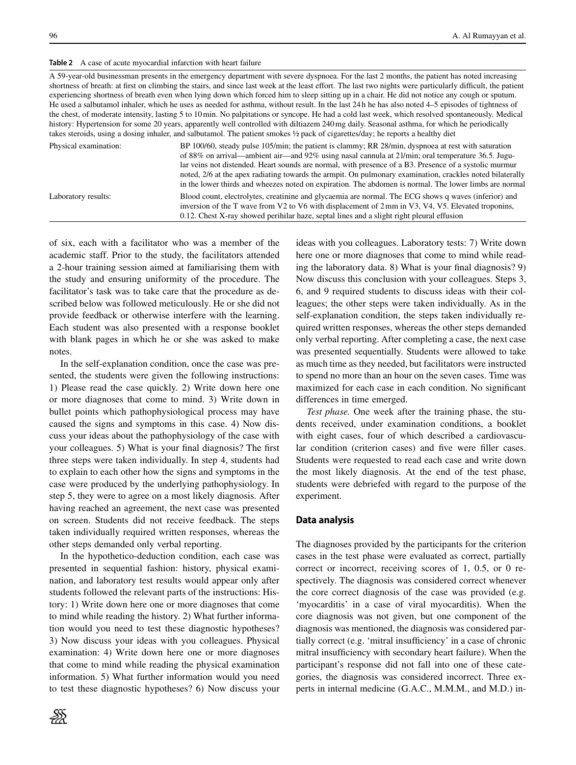<span id="page-3-0"></span>**Table 2** A case of acute myocardial infarction with heart failure

A 59-year-old businessman presents in the emergency department with severe dyspnoea. For the last 2 months, the patient has noted increasing shortness of breath: at first on climbing the stairs, and since last week at the least effort. The last two nights were particularly difficult, the patient experiencing shortness of breath even when lying down which forced him to sleep sitting up in a chair. He did not notice any cough or sputum. He used a salbutamol inhaler, which he uses as needed for asthma, without result. In the last 24 h he has also noted 4–5 episodes of tightness of the chest, of moderate intensity, lasting 5 to 10min. No palpitations or syncope. He had a cold last week, which resolved spontaneously. Medical history: Hypertension for some 20 years, apparently well controlled with diltiazem 240mg daily. Seasonal asthma, for which he periodically takes steroids, using a dosing inhaler, and salbutamol. The patient smokes ½ pack of cigarettes/day; he reports a healthy diet

| Physical examination: | BP 100/60, steady pulse 105/min; the patient is clammy; RR 28/min, dyspnoea at rest with saturation<br>of 88% on arrival—ambient air—and 92% using nasal cannula at 21/min; oral temperature 36.5. Jugu-<br>lar veins not distended. Heart sounds are normal, with presence of a B3. Presence of a systolic murmur<br>noted, 2/6 at the apex radiating towards the armpit. On pulmonary examination, crackles noted bilaterally<br>in the lower thirds and wheezes noted on expiration. The abdomen is normal. The lower limbs are normal |
|-----------------------|-------------------------------------------------------------------------------------------------------------------------------------------------------------------------------------------------------------------------------------------------------------------------------------------------------------------------------------------------------------------------------------------------------------------------------------------------------------------------------------------------------------------------------------------|
| Laboratory results:   | Blood count, electrolytes, creatinine and glycaemia are normal. The ECG shows q waves (inferior) and<br>inversion of the T wave from V2 to V6 with displacement of 2 mm in V3, V4, V5. Elevated troponins,<br>0.12. Chest X-ray showed perihilar haze, septal lines and a slight right pleural effusion                                                                                                                                                                                                                                   |

of six, each with a facilitator who was a member of the academic staff. Prior to the study, the facilitators attended a 2-hour training session aimed at familiarising them with the study and ensuring uniformity of the procedure. The facilitator's task was to take care that the procedure as described below was followed meticulously. He or she did not provide feedback or otherwise interfere with the learning. Each student was also presented with a response booklet with blank pages in which he or she was asked to make notes.

In the self-explanation condition, once the case was presented, the students were given the following instructions: 1) Please read the case quickly. 2) Write down here one or more diagnoses that come to mind. 3) Write down in bullet points which pathophysiological process may have caused the signs and symptoms in this case. 4) Now discuss your ideas about the pathophysiology of the case with your colleagues. 5) What is your final diagnosis? The first three steps were taken individually. In step 4, students had to explain to each other how the signs and symptoms in the case were produced by the underlying pathophysiology. In step 5, they were to agree on a most likely diagnosis. After having reached an agreement, the next case was presented on screen. Students did not receive feedback. The steps taken individually required written responses, whereas the other steps demanded only verbal reporting.

In the hypothetico-deduction condition, each case was presented in sequential fashion: history, physical examination, and laboratory test results would appear only after students followed the relevant parts of the instructions: History: 1) Write down here one or more diagnoses that come to mind while reading the history. 2) What further information would you need to test these diagnostic hypotheses? 3) Now discuss your ideas with you colleagues. Physical examination: 4) Write down here one or more diagnoses that come to mind while reading the physical examination information. 5) What further information would you need to test these diagnostic hypotheses? 6) Now discuss your



ideas with you colleagues. Laboratory tests: 7) Write down here one or more diagnoses that come to mind while reading the laboratory data. 8) What is your final diagnosis? 9) Now discuss this conclusion with your colleagues. Steps 3, 6, and 9 required students to discuss ideas with their colleagues; the other steps were taken individually. As in the self-explanation condition, the steps taken individually required written responses, whereas the other steps demanded only verbal reporting. After completing a case, the next case was presented sequentially. Students were allowed to take as much time as they needed, but facilitators were instructed to spend no more than an hour on the seven cases. Time was maximized for each case in each condition. No significant differences in time emerged.

*Test phase.* One week after the training phase, the students received, under examination conditions, a booklet with eight cases, four of which described a cardiovascular condition (criterion cases) and five were filler cases. Students were requested to read each case and write down the most likely diagnosis. At the end of the test phase, students were debriefed with regard to the purpose of the experiment.

#### **Data analysis**

The diagnoses provided by the participants for the criterion cases in the test phase were evaluated as correct, partially correct or incorrect, receiving scores of 1, 0.5, or 0 respectively. The diagnosis was considered correct whenever the core correct diagnosis of the case was provided (e.g. 'myocarditis' in a case of viral myocarditis). When the core diagnosis was not given, but one component of the diagnosis was mentioned, the diagnosis was considered partially correct (e.g. 'mitral insufficiency' in a case of chronic mitral insufficiency with secondary heart failure). When the participant's response did not fall into one of these categories, the diagnosis was considered incorrect. Three experts in internal medicine (G.A.C., M.M.M., and M.D.) in-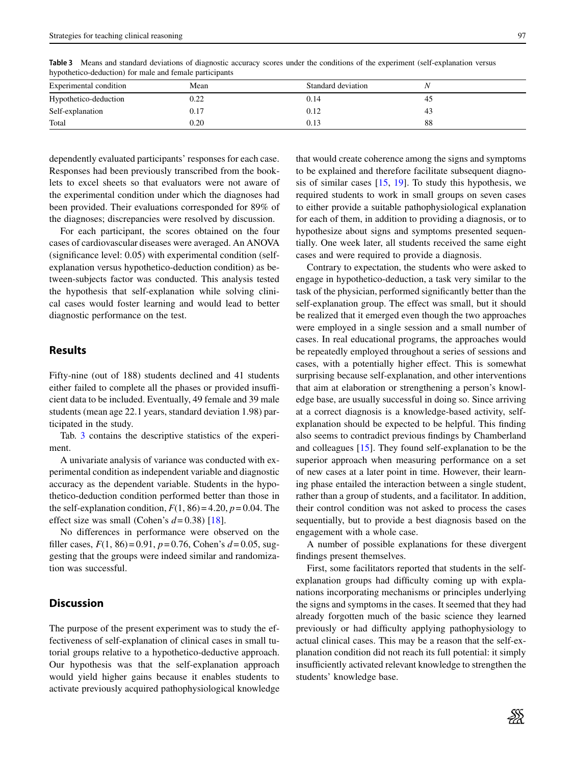**Table 3** Means and standard deviations of diagnostic accuracy scores under the conditions of the experiment (self-explanation versus hypothetico-deduction) for male and female participants Experimental condition **Mean** Mean Standard deviation *N* 

<span id="page-4-0"></span>

| Experimental condition | Mean | Standard deviation |    |  |
|------------------------|------|--------------------|----|--|
| Hypothetico-deduction  | 0.22 | 0.14               | 45 |  |
| Self-explanation       | 0.17 | 0.12               | 43 |  |
| Total                  | 0.20 | 0.13               | 88 |  |

dependently evaluated participants' responses for each case. Responses had been previously transcribed from the booklets to excel sheets so that evaluators were not aware of the experimental condition under which the diagnoses had been provided. Their evaluations corresponded for 89% of the diagnoses; discrepancies were resolved by discussion.

For each participant, the scores obtained on the four cases of cardiovascular diseases were averaged. An ANOVA (significance level: 0.05) with experimental condition (selfexplanation versus hypothetico-deduction condition) as between-subjects factor was conducted. This analysis tested the hypothesis that self-explanation while solving clinical cases would foster learning and would lead to better diagnostic performance on the test.

# **Results**

Fifty-nine (out of 188) students declined and 41 students either failed to complete all the phases or provided insufficient data to be included. Eventually, 49 female and 39 male students (mean age 22.1 years, standard deviation 1.98) participated in the study.

Tab. [3](#page-4-0) contains the descriptive statistics of the experiment.

A univariate analysis of variance was conducted with experimental condition as independent variable and diagnostic accuracy as the dependent variable. Students in the hypothetico-deduction condition performed better than those in the self-explanation condition,  $F(1, 86) = 4.20$ ,  $p = 0.04$ . The effect size was small (Cohen's *d*= 0.38) [\[18\]](#page-6-4).

No differences in performance were observed on the filler cases,  $F(1, 86) = 0.91$ ,  $p = 0.76$ , Cohen's  $d = 0.05$ , suggesting that the groups were indeed similar and randomization was successful.

## **Discussion**

The purpose of the present experiment was to study the effectiveness of self-explanation of clinical cases in small tutorial groups relative to a hypothetico-deductive approach. Our hypothesis was that the self-explanation approach would yield higher gains because it enables students to activate previously acquired pathophysiological knowledge that would create coherence among the signs and symptoms to be explained and therefore facilitate subsequent diagnosis of similar cases  $[15, 19]$  $[15, 19]$  $[15, 19]$ . To study this hypothesis, we required students to work in small groups on seven cases to either provide a suitable pathophysiological explanation for each of them, in addition to providing a diagnosis, or to hypothesize about signs and symptoms presented sequentially. One week later, all students received the same eight cases and were required to provide a diagnosis.

Contrary to expectation, the students who were asked to engage in hypothetico-deduction, a task very similar to the task of the physician, performed significantly better than the self-explanation group. The effect was small, but it should be realized that it emerged even though the two approaches were employed in a single session and a small number of cases. In real educational programs, the approaches would be repeatedly employed throughout a series of sessions and cases, with a potentially higher effect. This is somewhat surprising because self-explanation, and other interventions that aim at elaboration or strengthening a person's knowledge base, are usually successful in doing so. Since arriving at a correct diagnosis is a knowledge-based activity, selfexplanation should be expected to be helpful. This finding also seems to contradict previous findings by Chamberland and colleagues [\[15\]](#page-6-1). They found self-explanation to be the superior approach when measuring performance on a set of new cases at a later point in time. However, their learning phase entailed the interaction between a single student, rather than a group of students, and a facilitator. In addition, their control condition was not asked to process the cases sequentially, but to provide a best diagnosis based on the engagement with a whole case.

A number of possible explanations for these divergent findings present themselves.

First, some facilitators reported that students in the selfexplanation groups had difficulty coming up with explanations incorporating mechanisms or principles underlying the signs and symptoms in the cases. It seemed that they had already forgotten much of the basic science they learned previously or had difficulty applying pathophysiology to actual clinical cases. This may be a reason that the self-explanation condition did not reach its full potential: it simply insufficiently activated relevant knowledge to strengthen the students' knowledge base.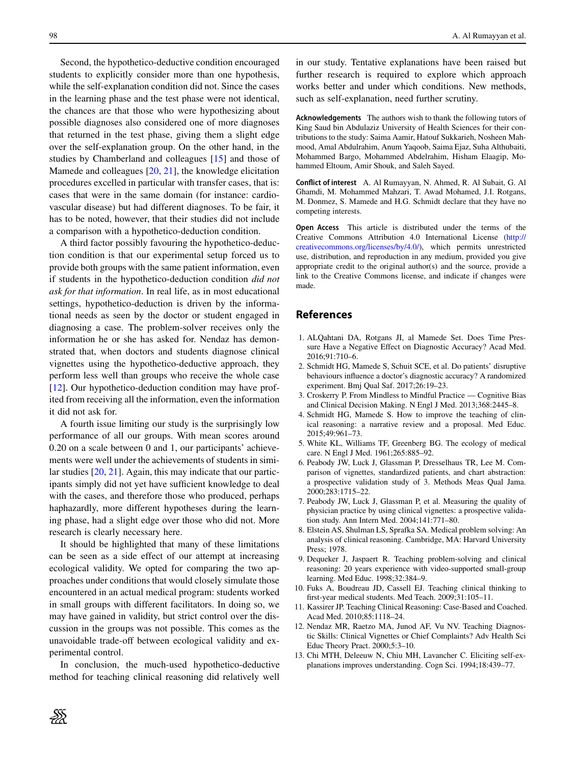Second, the hypothetico-deductive condition encouraged students to explicitly consider more than one hypothesis, while the self-explanation condition did not. Since the cases in the learning phase and the test phase were not identical, the chances are that those who were hypothesizing about possible diagnoses also considered one of more diagnoses that returned in the test phase, giving them a slight edge over the self-explanation group. On the other hand, in the studies by Chamberland and colleagues [\[15\]](#page-6-1) and those of Mamede and colleagues [\[20,](#page-6-6) [21\]](#page-6-7), the knowledge elicitation procedures excelled in particular with transfer cases, that is: cases that were in the same domain (for instance: cardiovascular disease) but had different diagnoses. To be fair, it has to be noted, however, that their studies did not include a comparison with a hypothetico-deduction condition.

A third factor possibly favouring the hypothetico-deduction condition is that our experimental setup forced us to provide both groups with the same patient information, even if students in the hypothetico-deduction condition *did not ask for that information*. In real life, as in most educational settings, hypothetico-deduction is driven by the informational needs as seen by the doctor or student engaged in diagnosing a case. The problem-solver receives only the information he or she has asked for. Nendaz has demonstrated that, when doctors and students diagnose clinical vignettes using the hypothetico-deductive approach, they perform less well than groups who receive the whole case [\[12\]](#page-5-10). Our hypothetico-deduction condition may have profited from receiving all the information, even the information it did not ask for.

A fourth issue limiting our study is the surprisingly low performance of all our groups. With mean scores around 0.20 on a scale between 0 and 1, our participants' achievements were well under the achievements of students in similar studies [\[20,](#page-6-6) [21\]](#page-6-7). Again, this may indicate that our participants simply did not yet have sufficient knowledge to deal with the cases, and therefore those who produced, perhaps haphazardly, more different hypotheses during the learning phase, had a slight edge over those who did not. More research is clearly necessary here.

It should be highlighted that many of these limitations can be seen as a side effect of our attempt at increasing ecological validity. We opted for comparing the two approaches under conditions that would closely simulate those encountered in an actual medical program: students worked in small groups with different facilitators. In doing so, we may have gained in validity, but strict control over the discussion in the groups was not possible. This comes as the unavoidable trade-off between ecological validity and experimental control.

In conclusion, the much-used hypothetico-deductive method for teaching clinical reasoning did relatively well

ℬ

in our study. Tentative explanations have been raised but further research is required to explore which approach works better and under which conditions. New methods, such as self-explanation, need further scrutiny.

**Acknowledgements** The authors wish to thank the following tutors of King Saud bin Abdulaziz University of Health Sciences for their contributions to the study: Saima Aamir, Hatouf Sukkarieh, Nosheen Mahmood, Amal Abdulrahim, Anum Yaqoob, Saima Ejaz, Suha Althubaiti, Mohammed Bargo, Mohammed Abdelrahim, Hisham Elaagip, Mohammed Eltoum, Amir Shouk, and Saleh Sayed.

**Conflict of interest** A. Al Rumayyan, N. Ahmed, R. Al Subait, G. Al Ghamdi, M. Mohammed Mahzari, T. Awad Mohamed, J.I. Rotgans, M. Donmez, S. Mamede and H.G. Schmidt declare that they have no competing interests.

**Open Access** This article is distributed under the terms of the Creative Commons Attribution 4.0 International License [\(http://](http://creativecommons.org/licenses/by/4.0/) [creativecommons.org/licenses/by/4.0/\)](http://creativecommons.org/licenses/by/4.0/), which permits unrestricted use, distribution, and reproduction in any medium, provided you give appropriate credit to the original author(s) and the source, provide a link to the Creative Commons license, and indicate if changes were made.

## **References**

- <span id="page-5-0"></span>1. ALQahtani DA, Rotgans JI, al Mamede Set. Does Time Pressure Have a Negative Effect on Diagnostic Accuracy? Acad Med. 2016;91:710–6.
- <span id="page-5-1"></span>2. Schmidt HG, Mamede S, Schuit SCE, et al. Do patients' disruptive behaviours influence a doctor's diagnostic accuracy? A randomized experiment. Bmj Qual Saf. 2017;26:19–23.
- <span id="page-5-3"></span><span id="page-5-2"></span>3. Croskerry P. From Mindless to Mindful Practice — Cognitive Bias and Clinical Decision Making. N Engl J Med. 2013;368:2445–8.
- 4. Schmidt HG, Mamede S. How to improve the teaching of clinical reasoning: a narrative review and a proposal. Med Educ. 2015;49:961–73.
- <span id="page-5-5"></span><span id="page-5-4"></span>5. White KL, Williams TF, Greenberg BG. The ecology of medical care. N Engl J Med. 1961;265:885–92.
- 6. Peabody JW, Luck J, Glassman P, Dresselhaus TR, Lee M. Comparison of vignettes, standardized patients, and chart abstraction: a prospective validation study of 3. Methods Meas Qual Jama. 2000;283:1715–22.
- <span id="page-5-6"></span>7. Peabody JW, Luck J, Glassman P, et al. Measuring the quality of physician practice by using clinical vignettes: a prospective validation study. Ann Intern Med. 2004;141:771–80.
- <span id="page-5-7"></span>8. Elstein AS, Shulman LS, Sprafka SA. Medical problem solving: An analysis of clinical reasoning. Cambridge, MA: Harvard University Press; 1978.
- <span id="page-5-8"></span>9. Dequeker J, Jaspaert R. Teaching problem-solving and clinical reasoning: 20 years experience with video-supported small-group learning. Med Educ. 1998;32:384–9.
- <span id="page-5-9"></span>10. Fuks A, Boudreau JD, Cassell EJ. Teaching clinical thinking to first-year medical students. Med Teach. 2009;31:105–11.
- <span id="page-5-10"></span>11. Kassirer JP. Teaching Clinical Reasoning: Case-Based and Coached. Acad Med. 2010;85:1118–24.
- 12. Nendaz MR, Raetzo MA, Junod AF, Vu NV. Teaching Diagnostic Skills: Clinical Vignettes or Chief Complaints? Adv Health Sci Educ Theory Pract. 2000;5:3–10.
- <span id="page-5-11"></span>13. Chi MTH, Deleeuw N, Chiu MH, Lavancher C. Eliciting self-explanations improves understanding. Cogn Sci. 1994;18:439–77.